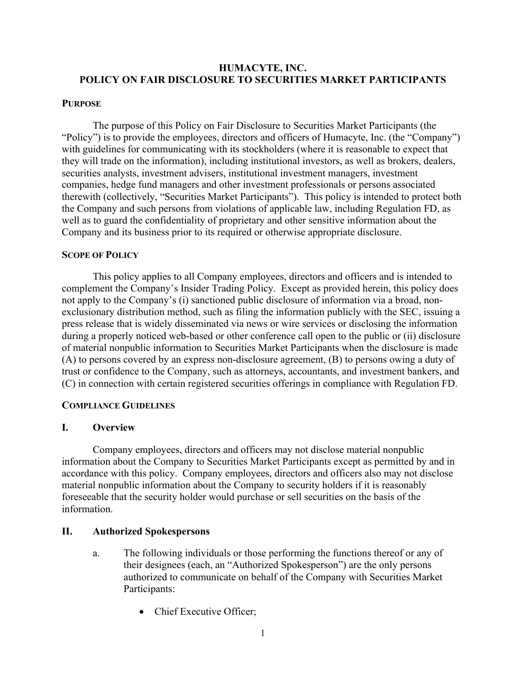### **HUMACYTE, INC. POLICY ON FAIR DISCLOSURE TO SECURITIES MARKET PARTICIPANTS**

#### **PURPOSE**

The purpose of this Policy on Fair Disclosure to Securities Market Participants (the "Policy") is to provide the employees, directors and officers of Humacyte, Inc. (the "Company") with guidelines for communicating with its stockholders (where it is reasonable to expect that they will trade on the information), including institutional investors, as well as brokers, dealers, securities analysts, investment advisers, institutional investment managers, investment companies, hedge fund managers and other investment professionals or persons associated therewith (collectively, "Securities Market Participants"). This policy is intended to protect both the Company and such persons from violations of applicable law, including Regulation FD, as well as to guard the confidentiality of proprietary and other sensitive information about the Company and its business prior to its required or otherwise appropriate disclosure.

### **SCOPE OF POLICY**

This policy applies to all Company employees, directors and officers and is intended to complement the Company's Insider Trading Policy. Except as provided herein, this policy does not apply to the Company's (i) sanctioned public disclosure of information via a broad, nonexclusionary distribution method, such as filing the information publicly with the SEC, issuing a press release that is widely disseminated via news or wire services or disclosing the information during a properly noticed web-based or other conference call open to the public or (ii) disclosure of material nonpublic information to Securities Market Participants when the disclosure is made (A) to persons covered by an express non-disclosure agreement, (B) to persons owing a duty of trust or confidence to the Company, such as attorneys, accountants, and investment bankers, and (C) in connection with certain registered securities offerings in compliance with Regulation FD.

### **COMPLIANCE GUIDELINES**

### **I. Overview**

Company employees, directors and officers may not disclose material nonpublic information about the Company to Securities Market Participants except as permitted by and in accordance with this policy. Company employees, directors and officers also may not disclose material nonpublic information about the Company to security holders if it is reasonably foreseeable that the security holder would purchase or sell securities on the basis of the information.

### **II. Authorized Spokespersons**

- a. The following individuals or those performing the functions thereof or any of their designees (each, an "Authorized Spokesperson") are the only persons authorized to communicate on behalf of the Company with Securities Market Participants:
	- Chief Executive Officer: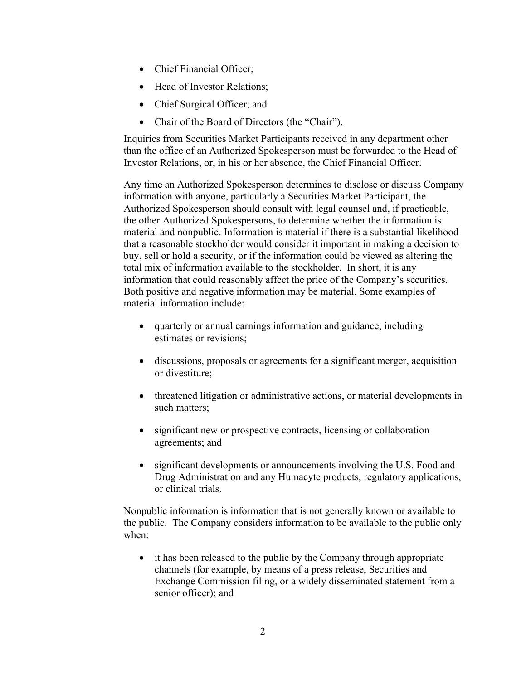- Chief Financial Officer;
- Head of Investor Relations;
- Chief Surgical Officer; and
- Chair of the Board of Directors (the "Chair").

Inquiries from Securities Market Participants received in any department other than the office of an Authorized Spokesperson must be forwarded to the Head of Investor Relations, or, in his or her absence, the Chief Financial Officer.

Any time an Authorized Spokesperson determines to disclose or discuss Company information with anyone, particularly a Securities Market Participant, the Authorized Spokesperson should consult with legal counsel and, if practicable, the other Authorized Spokespersons, to determine whether the information is material and nonpublic. Information is material if there is a substantial likelihood that a reasonable stockholder would consider it important in making a decision to buy, sell or hold a security, or if the information could be viewed as altering the total mix of information available to the stockholder. In short, it is any information that could reasonably affect the price of the Company's securities. Both positive and negative information may be material. Some examples of material information include:

- quarterly or annual earnings information and guidance, including estimates or revisions;
- discussions, proposals or agreements for a significant merger, acquisition or divestiture;
- threatened litigation or administrative actions, or material developments in such matters;
- significant new or prospective contracts, licensing or collaboration agreements; and
- significant developments or announcements involving the U.S. Food and Drug Administration and any Humacyte products, regulatory applications, or clinical trials.

Nonpublic information is information that is not generally known or available to the public. The Company considers information to be available to the public only when:

• it has been released to the public by the Company through appropriate channels (for example, by means of a press release, Securities and Exchange Commission filing, or a widely disseminated statement from a senior officer); and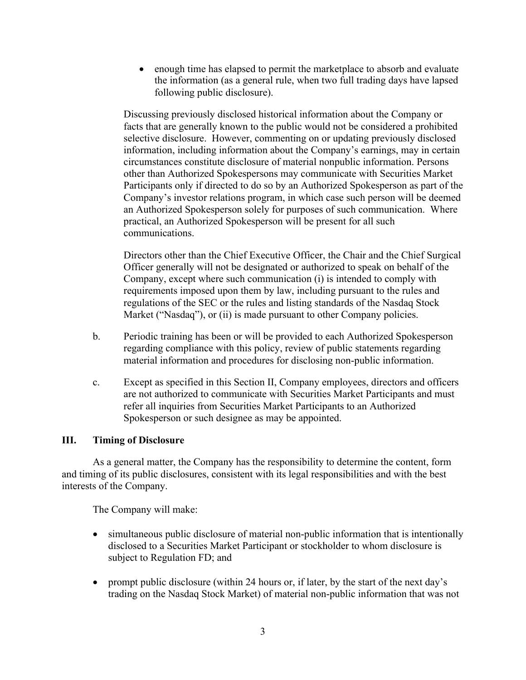• enough time has elapsed to permit the marketplace to absorb and evaluate the information (as a general rule, when two full trading days have lapsed following public disclosure).

Discussing previously disclosed historical information about the Company or facts that are generally known to the public would not be considered a prohibited selective disclosure. However, commenting on or updating previously disclosed information, including information about the Company's earnings, may in certain circumstances constitute disclosure of material nonpublic information. Persons other than Authorized Spokespersons may communicate with Securities Market Participants only if directed to do so by an Authorized Spokesperson as part of the Company's investor relations program, in which case such person will be deemed an Authorized Spokesperson solely for purposes of such communication. Where practical, an Authorized Spokesperson will be present for all such communications.

Directors other than the Chief Executive Officer, the Chair and the Chief Surgical Officer generally will not be designated or authorized to speak on behalf of the Company, except where such communication (i) is intended to comply with requirements imposed upon them by law, including pursuant to the rules and regulations of the SEC or the rules and listing standards of the Nasdaq Stock Market ("Nasdaq"), or (ii) is made pursuant to other Company policies.

- b. Periodic training has been or will be provided to each Authorized Spokesperson regarding compliance with this policy, review of public statements regarding material information and procedures for disclosing non-public information.
- c. Except as specified in this Section II, Company employees, directors and officers are not authorized to communicate with Securities Market Participants and must refer all inquiries from Securities Market Participants to an Authorized Spokesperson or such designee as may be appointed.

# **III. Timing of Disclosure**

As a general matter, the Company has the responsibility to determine the content, form and timing of its public disclosures, consistent with its legal responsibilities and with the best interests of the Company.

The Company will make:

- simultaneous public disclosure of material non-public information that is intentionally disclosed to a Securities Market Participant or stockholder to whom disclosure is subject to Regulation FD; and
- prompt public disclosure (within 24 hours or, if later, by the start of the next day's trading on the Nasdaq Stock Market) of material non-public information that was not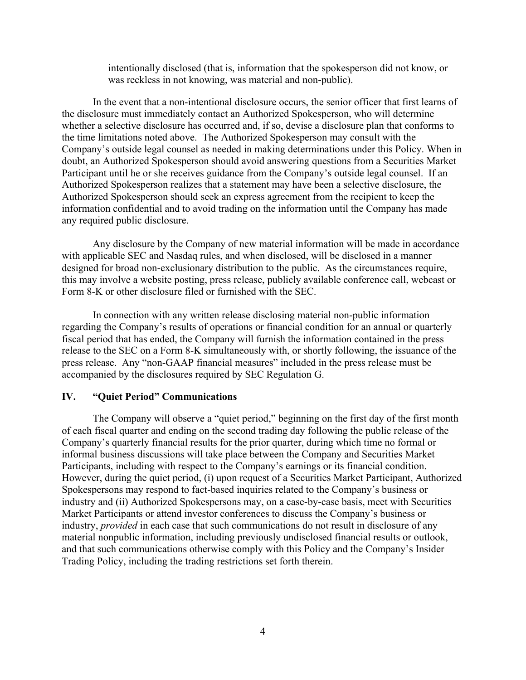intentionally disclosed (that is, information that the spokesperson did not know, or was reckless in not knowing, was material and non-public).

In the event that a non-intentional disclosure occurs, the senior officer that first learns of the disclosure must immediately contact an Authorized Spokesperson, who will determine whether a selective disclosure has occurred and, if so, devise a disclosure plan that conforms to the time limitations noted above. The Authorized Spokesperson may consult with the Company's outside legal counsel as needed in making determinations under this Policy. When in doubt, an Authorized Spokesperson should avoid answering questions from a Securities Market Participant until he or she receives guidance from the Company's outside legal counsel. If an Authorized Spokesperson realizes that a statement may have been a selective disclosure, the Authorized Spokesperson should seek an express agreement from the recipient to keep the information confidential and to avoid trading on the information until the Company has made any required public disclosure.

Any disclosure by the Company of new material information will be made in accordance with applicable SEC and Nasdaq rules, and when disclosed, will be disclosed in a manner designed for broad non-exclusionary distribution to the public. As the circumstances require, this may involve a website posting, press release, publicly available conference call, webcast or Form 8-K or other disclosure filed or furnished with the SEC.

In connection with any written release disclosing material non-public information regarding the Company's results of operations or financial condition for an annual or quarterly fiscal period that has ended, the Company will furnish the information contained in the press release to the SEC on a Form 8-K simultaneously with, or shortly following, the issuance of the press release. Any "non-GAAP financial measures" included in the press release must be accompanied by the disclosures required by SEC Regulation G.

### **IV. "Quiet Period" Communications**

The Company will observe a "quiet period," beginning on the first day of the first month of each fiscal quarter and ending on the second trading day following the public release of the Company's quarterly financial results for the prior quarter, during which time no formal or informal business discussions will take place between the Company and Securities Market Participants, including with respect to the Company's earnings or its financial condition. However, during the quiet period, (i) upon request of a Securities Market Participant, Authorized Spokespersons may respond to fact-based inquiries related to the Company's business or industry and (ii) Authorized Spokespersons may, on a case-by-case basis, meet with Securities Market Participants or attend investor conferences to discuss the Company's business or industry, *provided* in each case that such communications do not result in disclosure of any material nonpublic information, including previously undisclosed financial results or outlook, and that such communications otherwise comply with this Policy and the Company's Insider Trading Policy, including the trading restrictions set forth therein.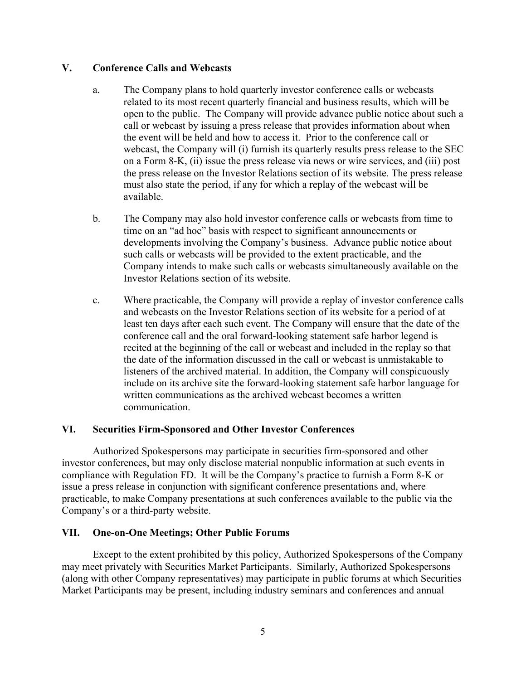### **V. Conference Calls and Webcasts**

- a. The Company plans to hold quarterly investor conference calls or webcasts related to its most recent quarterly financial and business results, which will be open to the public. The Company will provide advance public notice about such a call or webcast by issuing a press release that provides information about when the event will be held and how to access it. Prior to the conference call or webcast, the Company will (i) furnish its quarterly results press release to the SEC on a Form 8-K, (ii) issue the press release via news or wire services, and (iii) post the press release on the Investor Relations section of its website. The press release must also state the period, if any for which a replay of the webcast will be available.
- b. The Company may also hold investor conference calls or webcasts from time to time on an "ad hoc" basis with respect to significant announcements or developments involving the Company's business. Advance public notice about such calls or webcasts will be provided to the extent practicable, and the Company intends to make such calls or webcasts simultaneously available on the Investor Relations section of its website.
- c. Where practicable, the Company will provide a replay of investor conference calls and webcasts on the Investor Relations section of its website for a period of at least ten days after each such event. The Company will ensure that the date of the conference call and the oral forward-looking statement safe harbor legend is recited at the beginning of the call or webcast and included in the replay so that the date of the information discussed in the call or webcast is unmistakable to listeners of the archived material. In addition, the Company will conspicuously include on its archive site the forward-looking statement safe harbor language for written communications as the archived webcast becomes a written communication.

### **VI. Securities Firm-Sponsored and Other Investor Conferences**

Authorized Spokespersons may participate in securities firm-sponsored and other investor conferences, but may only disclose material nonpublic information at such events in compliance with Regulation FD. It will be the Company's practice to furnish a Form 8-K or issue a press release in conjunction with significant conference presentations and, where practicable, to make Company presentations at such conferences available to the public via the Company's or a third-party website.

# **VII. One-on-One Meetings; Other Public Forums**

Except to the extent prohibited by this policy, Authorized Spokespersons of the Company may meet privately with Securities Market Participants. Similarly, Authorized Spokespersons (along with other Company representatives) may participate in public forums at which Securities Market Participants may be present, including industry seminars and conferences and annual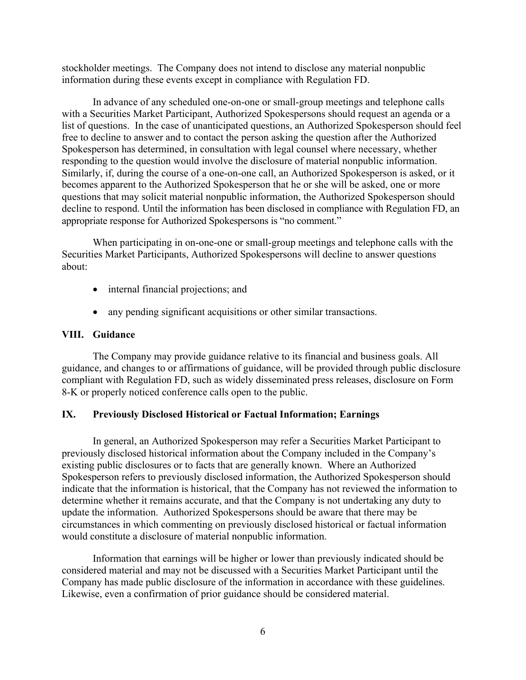stockholder meetings. The Company does not intend to disclose any material nonpublic information during these events except in compliance with Regulation FD.

In advance of any scheduled one-on-one or small-group meetings and telephone calls with a Securities Market Participant, Authorized Spokespersons should request an agenda or a list of questions. In the case of unanticipated questions, an Authorized Spokesperson should feel free to decline to answer and to contact the person asking the question after the Authorized Spokesperson has determined, in consultation with legal counsel where necessary, whether responding to the question would involve the disclosure of material nonpublic information. Similarly, if, during the course of a one-on-one call, an Authorized Spokesperson is asked, or it becomes apparent to the Authorized Spokesperson that he or she will be asked, one or more questions that may solicit material nonpublic information, the Authorized Spokesperson should decline to respond. Until the information has been disclosed in compliance with Regulation FD, an appropriate response for Authorized Spokespersons is "no comment."

When participating in on-one-one or small-group meetings and telephone calls with the Securities Market Participants, Authorized Spokespersons will decline to answer questions about:

- internal financial projections; and
- any pending significant acquisitions or other similar transactions.

### **VIII. Guidance**

The Company may provide guidance relative to its financial and business goals. All guidance, and changes to or affirmations of guidance, will be provided through public disclosure compliant with Regulation FD, such as widely disseminated press releases, disclosure on Form 8-K or properly noticed conference calls open to the public.

### **IX. Previously Disclosed Historical or Factual Information; Earnings**

In general, an Authorized Spokesperson may refer a Securities Market Participant to previously disclosed historical information about the Company included in the Company's existing public disclosures or to facts that are generally known. Where an Authorized Spokesperson refers to previously disclosed information, the Authorized Spokesperson should indicate that the information is historical, that the Company has not reviewed the information to determine whether it remains accurate, and that the Company is not undertaking any duty to update the information. Authorized Spokespersons should be aware that there may be circumstances in which commenting on previously disclosed historical or factual information would constitute a disclosure of material nonpublic information.

Information that earnings will be higher or lower than previously indicated should be considered material and may not be discussed with a Securities Market Participant until the Company has made public disclosure of the information in accordance with these guidelines. Likewise, even a confirmation of prior guidance should be considered material.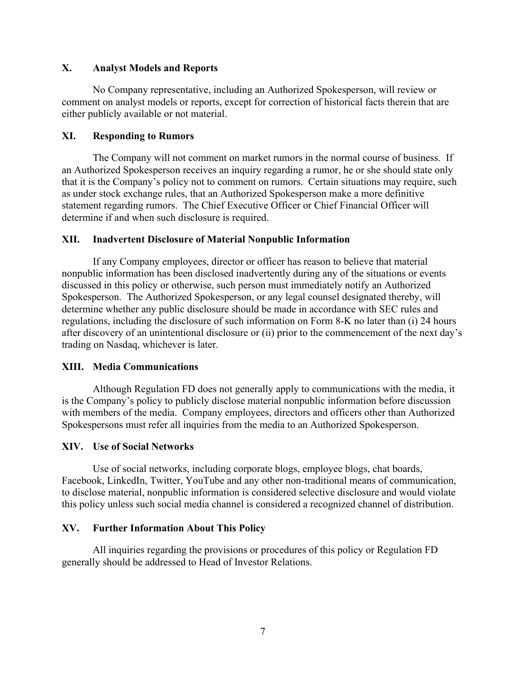### **X. Analyst Models and Reports**

No Company representative, including an Authorized Spokesperson, will review or comment on analyst models or reports, except for correction of historical facts therein that are either publicly available or not material.

### **XI. Responding to Rumors**

The Company will not comment on market rumors in the normal course of business. If an Authorized Spokesperson receives an inquiry regarding a rumor, he or she should state only that it is the Company's policy not to comment on rumors. Certain situations may require, such as under stock exchange rules, that an Authorized Spokesperson make a more definitive statement regarding rumors. The Chief Executive Officer or Chief Financial Officer will determine if and when such disclosure is required.

### **XII. Inadvertent Disclosure of Material Nonpublic Information**

If any Company employees, director or officer has reason to believe that material nonpublic information has been disclosed inadvertently during any of the situations or events discussed in this policy or otherwise, such person must immediately notify an Authorized Spokesperson. The Authorized Spokesperson, or any legal counsel designated thereby, will determine whether any public disclosure should be made in accordance with SEC rules and regulations, including the disclosure of such information on Form 8-K no later than (i) 24 hours after discovery of an unintentional disclosure or (ii) prior to the commencement of the next day's trading on Nasdaq, whichever is later.

### **XIII. Media Communications**

Although Regulation FD does not generally apply to communications with the media, it is the Company's policy to publicly disclose material nonpublic information before discussion with members of the media. Company employees, directors and officers other than Authorized Spokespersons must refer all inquiries from the media to an Authorized Spokesperson.

### **XIV. Use of Social Networks**

Use of social networks, including corporate blogs, employee blogs, chat boards, Facebook, LinkedIn, Twitter, YouTube and any other non-traditional means of communication, to disclose material, nonpublic information is considered selective disclosure and would violate this policy unless such social media channel is considered a recognized channel of distribution.

### **XV. Further Information About This Policy**

All inquiries regarding the provisions or procedures of this policy or Regulation FD generally should be addressed to Head of Investor Relations.